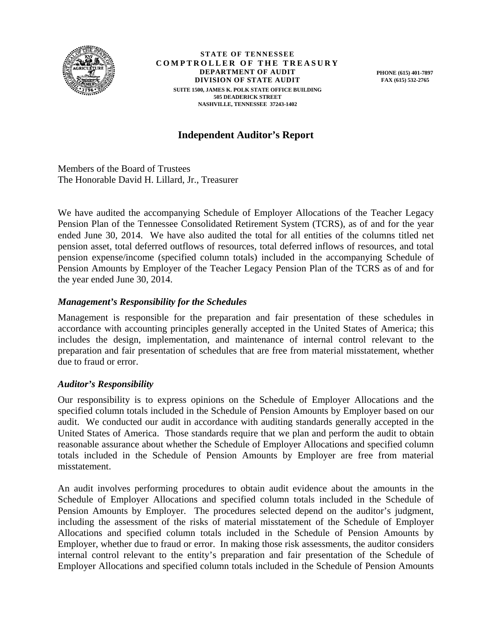

**STATE OF TENNESSEE COMPTROLLER OF THE TREASURY DEPARTMENT OF AUDIT DIVISION OF STATE AUDIT SUITE 1500, JAMES K. POLK STATE OFFICE BUILDING 505 DEADERICK STREET NASHVILLE, TENNESSEE 37243-1402** 

**PHONE (615) 401-7897 FAX (615) 532-2765** 

# **Independent Auditor's Report**

Members of the Board of Trustees The Honorable David H. Lillard, Jr., Treasurer

We have audited the accompanying Schedule of Employer Allocations of the Teacher Legacy Pension Plan of the Tennessee Consolidated Retirement System (TCRS), as of and for the year ended June 30, 2014. We have also audited the total for all entities of the columns titled net pension asset, total deferred outflows of resources, total deferred inflows of resources, and total pension expense/income (specified column totals) included in the accompanying Schedule of Pension Amounts by Employer of the Teacher Legacy Pension Plan of the TCRS as of and for the year ended June 30, 2014.

## *Management's Responsibility for the Schedules*

Management is responsible for the preparation and fair presentation of these schedules in accordance with accounting principles generally accepted in the United States of America; this includes the design, implementation, and maintenance of internal control relevant to the preparation and fair presentation of schedules that are free from material misstatement, whether due to fraud or error.

## *Auditor's Responsibility*

Our responsibility is to express opinions on the Schedule of Employer Allocations and the specified column totals included in the Schedule of Pension Amounts by Employer based on our audit. We conducted our audit in accordance with auditing standards generally accepted in the United States of America. Those standards require that we plan and perform the audit to obtain reasonable assurance about whether the Schedule of Employer Allocations and specified column totals included in the Schedule of Pension Amounts by Employer are free from material misstatement.

An audit involves performing procedures to obtain audit evidence about the amounts in the Schedule of Employer Allocations and specified column totals included in the Schedule of Pension Amounts by Employer. The procedures selected depend on the auditor's judgment, including the assessment of the risks of material misstatement of the Schedule of Employer Allocations and specified column totals included in the Schedule of Pension Amounts by Employer, whether due to fraud or error. In making those risk assessments, the auditor considers internal control relevant to the entity's preparation and fair presentation of the Schedule of Employer Allocations and specified column totals included in the Schedule of Pension Amounts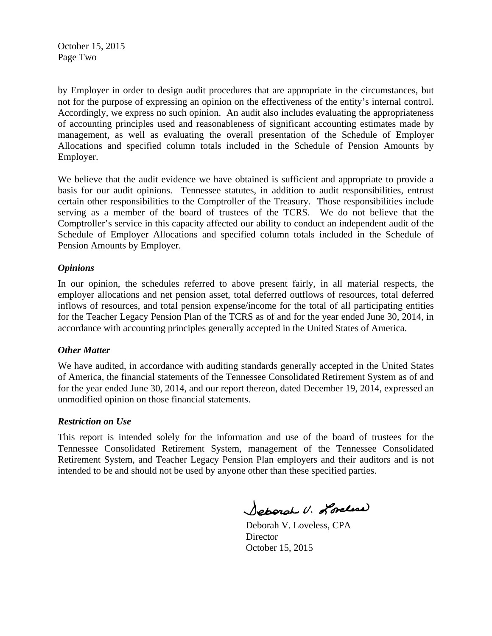October 15, 2015 Page Two

by Employer in order to design audit procedures that are appropriate in the circumstances, but not for the purpose of expressing an opinion on the effectiveness of the entity's internal control. Accordingly, we express no such opinion. An audit also includes evaluating the appropriateness of accounting principles used and reasonableness of significant accounting estimates made by management, as well as evaluating the overall presentation of the Schedule of Employer Allocations and specified column totals included in the Schedule of Pension Amounts by Employer.

We believe that the audit evidence we have obtained is sufficient and appropriate to provide a basis for our audit opinions. Tennessee statutes, in addition to audit responsibilities, entrust certain other responsibilities to the Comptroller of the Treasury. Those responsibilities include serving as a member of the board of trustees of the TCRS. We do not believe that the Comptroller's service in this capacity affected our ability to conduct an independent audit of the Schedule of Employer Allocations and specified column totals included in the Schedule of Pension Amounts by Employer.

## *Opinions*

In our opinion, the schedules referred to above present fairly, in all material respects, the employer allocations and net pension asset, total deferred outflows of resources, total deferred inflows of resources, and total pension expense/income for the total of all participating entities for the Teacher Legacy Pension Plan of the TCRS as of and for the year ended June 30, 2014, in accordance with accounting principles generally accepted in the United States of America.

## *Other Matter*

We have audited, in accordance with auditing standards generally accepted in the United States of America, the financial statements of the Tennessee Consolidated Retirement System as of and for the year ended June 30, 2014, and our report thereon, dated December 19, 2014, expressed an unmodified opinion on those financial statements.

## *Restriction on Use*

This report is intended solely for the information and use of the board of trustees for the Tennessee Consolidated Retirement System, management of the Tennessee Consolidated Retirement System, and Teacher Legacy Pension Plan employers and their auditors and is not intended to be and should not be used by anyone other than these specified parties.

Separal U. Lordess

 Deborah V. Loveless, CPA **Director** October 15, 2015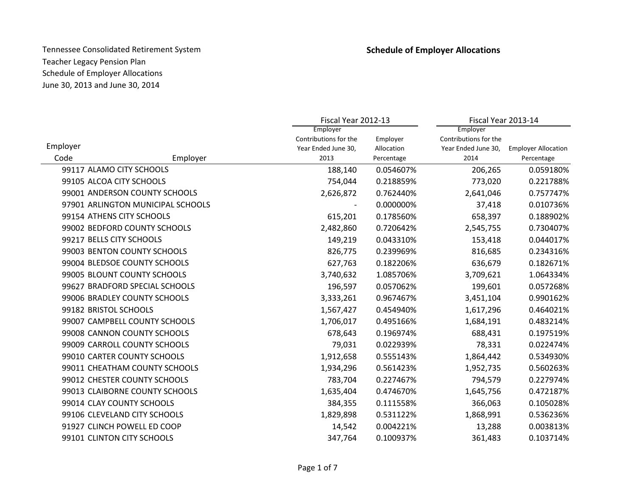╾

|          |                                   | Fiscal Year 2012-13               |            | Fiscal Year 2013-14               |                            |
|----------|-----------------------------------|-----------------------------------|------------|-----------------------------------|----------------------------|
|          |                                   | Employer<br>Contributions for the | Employer   | Employer<br>Contributions for the |                            |
| Employer |                                   | Year Ended June 30,               | Allocation | Year Ended June 30,               | <b>Employer Allocation</b> |
| Code     | Employer                          | 2013                              | Percentage | 2014                              | Percentage                 |
|          | 99117 ALAMO CITY SCHOOLS          | 188,140                           | 0.054607%  | 206,265                           | 0.059180%                  |
|          | 99105 ALCOA CITY SCHOOLS          | 754,044                           | 0.218859%  | 773,020                           | 0.221788%                  |
|          | 99001 ANDERSON COUNTY SCHOOLS     | 2,626,872                         | 0.762440%  | 2,641,046                         | 0.757747%                  |
|          | 97901 ARLINGTON MUNICIPAL SCHOOLS |                                   | 0.000000%  | 37,418                            | 0.010736%                  |
|          | 99154 ATHENS CITY SCHOOLS         | 615,201                           | 0.178560%  | 658,397                           | 0.188902%                  |
|          | 99002 BEDFORD COUNTY SCHOOLS      | 2,482,860                         | 0.720642%  | 2,545,755                         | 0.730407%                  |
|          | 99217 BELLS CITY SCHOOLS          | 149,219                           | 0.043310%  | 153,418                           | 0.044017%                  |
|          | 99003 BENTON COUNTY SCHOOLS       | 826,775                           | 0.239969%  | 816,685                           | 0.234316%                  |
|          | 99004 BLEDSOE COUNTY SCHOOLS      | 627,763                           | 0.182206%  | 636,679                           | 0.182671%                  |
|          | 99005 BLOUNT COUNTY SCHOOLS       | 3,740,632                         | 1.085706%  | 3,709,621                         | 1.064334%                  |
|          | 99627 BRADFORD SPECIAL SCHOOLS    | 196,597                           | 0.057062%  | 199,601                           | 0.057268%                  |
|          | 99006 BRADLEY COUNTY SCHOOLS      | 3,333,261                         | 0.967467%  | 3,451,104                         | 0.990162%                  |
|          | 99182 BRISTOL SCHOOLS             | 1,567,427                         | 0.454940%  | 1,617,296                         | 0.464021%                  |
|          | 99007 CAMPBELL COUNTY SCHOOLS     | 1,706,017                         | 0.495166%  | 1,684,191                         | 0.483214%                  |
|          | 99008 CANNON COUNTY SCHOOLS       | 678,643                           | 0.196974%  | 688,431                           | 0.197519%                  |
|          | 99009 CARROLL COUNTY SCHOOLS      | 79,031                            | 0.022939%  | 78,331                            | 0.022474%                  |
|          | 99010 CARTER COUNTY SCHOOLS       | 1,912,658                         | 0.555143%  | 1,864,442                         | 0.534930%                  |
|          | 99011 CHEATHAM COUNTY SCHOOLS     | 1,934,296                         | 0.561423%  | 1,952,735                         | 0.560263%                  |
|          | 99012 CHESTER COUNTY SCHOOLS      | 783,704                           | 0.227467%  | 794,579                           | 0.227974%                  |
|          | 99013 CLAIBORNE COUNTY SCHOOLS    | 1,635,404                         | 0.474670%  | 1,645,756                         | 0.472187%                  |
|          | 99014 CLAY COUNTY SCHOOLS         | 384,355                           | 0.111558%  | 366,063                           | 0.105028%                  |
|          | 99106 CLEVELAND CITY SCHOOLS      | 1,829,898                         | 0.531122%  | 1,868,991                         | 0.536236%                  |
|          | 91927 CLINCH POWELL ED COOP       | 14,542                            | 0.004221%  | 13,288                            | 0.003813%                  |
|          | 99101 CLINTON CITY SCHOOLS        | 347,764                           | 0.100937%  | 361,483                           | 0.103714%                  |
|          |                                   |                                   |            |                                   |                            |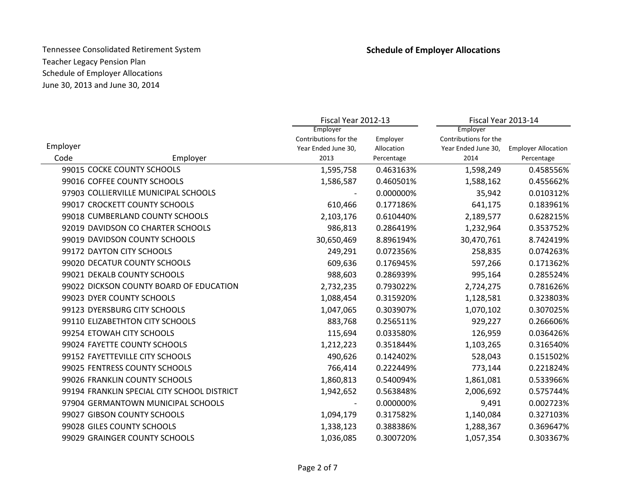|          |                                             | Fiscal Year 2012-13   |            | Fiscal Year 2013-14   |                            |  |
|----------|---------------------------------------------|-----------------------|------------|-----------------------|----------------------------|--|
|          |                                             | Employer              |            | Employer              |                            |  |
| Employer |                                             | Contributions for the | Employer   | Contributions for the |                            |  |
|          |                                             | Year Ended June 30,   | Allocation | Year Ended June 30,   | <b>Employer Allocation</b> |  |
| Code     | Employer                                    | 2013                  | Percentage | 2014                  | Percentage                 |  |
|          | 99015 COCKE COUNTY SCHOOLS                  | 1,595,758             | 0.463163%  | 1,598,249             | 0.458556%                  |  |
|          | 99016 COFFEE COUNTY SCHOOLS                 | 1,586,587             | 0.460501%  | 1,588,162             | 0.455662%                  |  |
|          | 97903 COLLIERVILLE MUNICIPAL SCHOOLS        |                       | 0.000000%  | 35,942                | 0.010312%                  |  |
|          | 99017 CROCKETT COUNTY SCHOOLS               | 610,466               | 0.177186%  | 641,175               | 0.183961%                  |  |
|          | 99018 CUMBERLAND COUNTY SCHOOLS             | 2,103,176             | 0.610440%  | 2,189,577             | 0.628215%                  |  |
|          | 92019 DAVIDSON CO CHARTER SCHOOLS           | 986,813               | 0.286419%  | 1,232,964             | 0.353752%                  |  |
|          | 99019 DAVIDSON COUNTY SCHOOLS               | 30,650,469            | 8.896194%  | 30,470,761            | 8.742419%                  |  |
|          | 99172 DAYTON CITY SCHOOLS                   | 249,291               | 0.072356%  | 258,835               | 0.074263%                  |  |
|          | 99020 DECATUR COUNTY SCHOOLS                | 609,636               | 0.176945%  | 597,266               | 0.171362%                  |  |
|          | 99021 DEKALB COUNTY SCHOOLS                 | 988,603               | 0.286939%  | 995,164               | 0.285524%                  |  |
|          | 99022 DICKSON COUNTY BOARD OF EDUCATION     | 2,732,235             | 0.793022%  | 2,724,275             | 0.781626%                  |  |
|          | 99023 DYER COUNTY SCHOOLS                   | 1,088,454             | 0.315920%  | 1,128,581             | 0.323803%                  |  |
|          | 99123 DYERSBURG CITY SCHOOLS                | 1,047,065             | 0.303907%  | 1,070,102             | 0.307025%                  |  |
|          | 99110 ELIZABETHTON CITY SCHOOLS             | 883,768               | 0.256511%  | 929,227               | 0.266606%                  |  |
|          | 99254 ETOWAH CITY SCHOOLS                   | 115,694               | 0.033580%  | 126,959               | 0.036426%                  |  |
|          | 99024 FAYETTE COUNTY SCHOOLS                | 1,212,223             | 0.351844%  | 1,103,265             | 0.316540%                  |  |
|          | 99152 FAYETTEVILLE CITY SCHOOLS             | 490,626               | 0.142402%  | 528,043               | 0.151502%                  |  |
|          | 99025 FENTRESS COUNTY SCHOOLS               | 766,414               | 0.222449%  | 773,144               | 0.221824%                  |  |
|          | 99026 FRANKLIN COUNTY SCHOOLS               | 1,860,813             | 0.540094%  | 1,861,081             | 0.533966%                  |  |
|          | 99194 FRANKLIN SPECIAL CITY SCHOOL DISTRICT | 1,942,652             | 0.563848%  | 2,006,692             | 0.575744%                  |  |
|          | 97904 GERMANTOWN MUNICIPAL SCHOOLS          |                       | 0.000000%  | 9,491                 | 0.002723%                  |  |
|          | 99027 GIBSON COUNTY SCHOOLS                 | 1,094,179             | 0.317582%  | 1,140,084             | 0.327103%                  |  |
|          | 99028 GILES COUNTY SCHOOLS                  | 1,338,123             | 0.388386%  | 1,288,367             | 0.369647%                  |  |
|          | 99029 GRAINGER COUNTY SCHOOLS               | 1,036,085             | 0.300720%  | 1,057,354             | 0.303367%                  |  |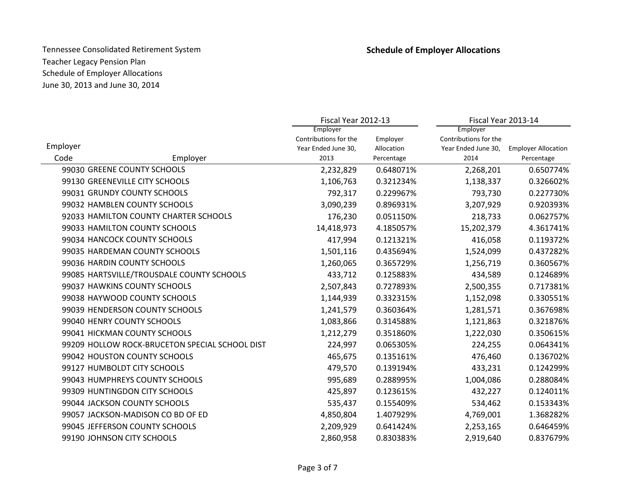|          |                                                | Fiscal Year 2012-13         |                          | Fiscal Year 2013-14         |                                          |  |  |
|----------|------------------------------------------------|-----------------------------|--------------------------|-----------------------------|------------------------------------------|--|--|
|          |                                                | Employer                    |                          | Employer                    |                                          |  |  |
| Employer |                                                | Contributions for the       | Employer                 | Contributions for the       |                                          |  |  |
| Code     | Employer                                       | Year Ended June 30,<br>2013 | Allocation<br>Percentage | Year Ended June 30,<br>2014 | <b>Employer Allocation</b><br>Percentage |  |  |
|          | 99030 GREENE COUNTY SCHOOLS                    | 2,232,829                   | 0.648071%                | 2,268,201                   | 0.650774%                                |  |  |
|          | 99130 GREENEVILLE CITY SCHOOLS                 | 1,106,763                   | 0.321234%                | 1,138,337                   | 0.326602%                                |  |  |
|          | 99031 GRUNDY COUNTY SCHOOLS                    | 792,317                     | 0.229967%                | 793,730                     | 0.227730%                                |  |  |
|          | 99032 HAMBLEN COUNTY SCHOOLS                   | 3,090,239                   | 0.896931%                | 3,207,929                   | 0.920393%                                |  |  |
|          |                                                |                             |                          |                             |                                          |  |  |
|          | 92033 HAMILTON COUNTY CHARTER SCHOOLS          | 176,230                     | 0.051150%                | 218,733                     | 0.062757%                                |  |  |
|          | 99033 HAMILTON COUNTY SCHOOLS                  | 14,418,973                  | 4.185057%                | 15,202,379                  | 4.361741%                                |  |  |
|          | 99034 HANCOCK COUNTY SCHOOLS                   | 417,994                     | 0.121321%                | 416,058                     | 0.119372%                                |  |  |
|          | 99035 HARDEMAN COUNTY SCHOOLS                  | 1,501,116                   | 0.435694%                | 1,524,099                   | 0.437282%                                |  |  |
|          | 99036 HARDIN COUNTY SCHOOLS                    | 1,260,065                   | 0.365729%                | 1,256,719                   | 0.360567%                                |  |  |
|          | 99085 HARTSVILLE/TROUSDALE COUNTY SCHOOLS      | 433,712                     | 0.125883%                | 434,589                     | 0.124689%                                |  |  |
|          | 99037 HAWKINS COUNTY SCHOOLS                   | 2,507,843                   | 0.727893%                | 2,500,355                   | 0.717381%                                |  |  |
|          | 99038 HAYWOOD COUNTY SCHOOLS                   | 1,144,939                   | 0.332315%                | 1,152,098                   | 0.330551%                                |  |  |
|          | 99039 HENDERSON COUNTY SCHOOLS                 | 1,241,579                   | 0.360364%                | 1,281,571                   | 0.367698%                                |  |  |
|          | 99040 HENRY COUNTY SCHOOLS                     | 1,083,866                   | 0.314588%                | 1,121,863                   | 0.321876%                                |  |  |
|          | 99041 HICKMAN COUNTY SCHOOLS                   | 1,212,279                   | 0.351860%                | 1,222,030                   | 0.350615%                                |  |  |
|          | 99209 HOLLOW ROCK-BRUCETON SPECIAL SCHOOL DIST | 224,997                     | 0.065305%                | 224,255                     | 0.064341%                                |  |  |
|          | 99042 HOUSTON COUNTY SCHOOLS                   | 465,675                     | 0.135161%                | 476,460                     | 0.136702%                                |  |  |
|          | 99127 HUMBOLDT CITY SCHOOLS                    | 479,570                     | 0.139194%                | 433,231                     | 0.124299%                                |  |  |
|          | 99043 HUMPHREYS COUNTY SCHOOLS                 | 995,689                     | 0.288995%                | 1,004,086                   | 0.288084%                                |  |  |
|          | 99309 HUNTINGDON CITY SCHOOLS                  | 425,897                     | 0.123615%                | 432,227                     | 0.124011%                                |  |  |
|          | 99044 JACKSON COUNTY SCHOOLS                   | 535,437                     | 0.155409%                | 534,462                     | 0.153343%                                |  |  |
|          | 99057 JACKSON-MADISON CO BD OF ED              | 4,850,804                   | 1.407929%                | 4,769,001                   | 1.368282%                                |  |  |
|          | 99045 JEFFERSON COUNTY SCHOOLS                 | 2,209,929                   | 0.641424%                | 2,253,165                   | 0.646459%                                |  |  |
|          | 99190 JOHNSON CITY SCHOOLS                     | 2,860,958                   | 0.830383%                | 2,919,640                   | 0.837679%                                |  |  |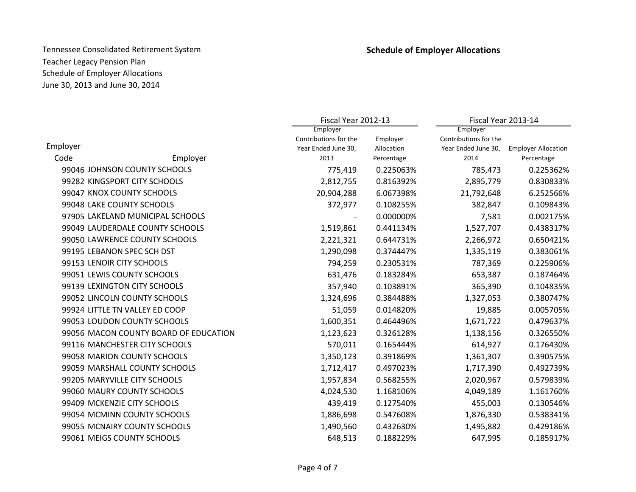╾

|          |                                       | Fiscal Year 2012-13   |            | Fiscal Year 2013-14   |                            |  |  |
|----------|---------------------------------------|-----------------------|------------|-----------------------|----------------------------|--|--|
|          |                                       | Employer              |            | Employer              |                            |  |  |
| Employer |                                       | Contributions for the | Employer   | Contributions for the |                            |  |  |
|          |                                       | Year Ended June 30,   | Allocation | Year Ended June 30,   | <b>Employer Allocation</b> |  |  |
| Code     | Employer                              | 2013                  | Percentage | 2014                  | Percentage                 |  |  |
|          | 99046 JOHNSON COUNTY SCHOOLS          | 775,419               | 0.225063%  | 785,473               | 0.225362%                  |  |  |
|          | 99282 KINGSPORT CITY SCHOOLS          | 2,812,755             | 0.816392%  | 2,895,779             | 0.830833%                  |  |  |
|          | 99047 KNOX COUNTY SCHOOLS             | 20,904,288            | 6.067398%  | 21,792,648            | 6.252566%                  |  |  |
|          | 99048 LAKE COUNTY SCHOOLS             | 372,977               | 0.108255%  | 382,847               | 0.109843%                  |  |  |
|          | 97905 LAKELAND MUNICIPAL SCHOOLS      |                       | 0.000000%  | 7,581                 | 0.002175%                  |  |  |
|          | 99049 LAUDERDALE COUNTY SCHOOLS       | 1,519,861             | 0.441134%  | 1,527,707             | 0.438317%                  |  |  |
|          | 99050 LAWRENCE COUNTY SCHOOLS         | 2,221,321             | 0.644731%  | 2,266,972             | 0.650421%                  |  |  |
|          | 99195 LEBANON SPEC SCH DST            | 1,290,098             | 0.374447%  | 1,335,119             | 0.383061%                  |  |  |
|          | 99153 LENOIR CITY SCHOOLS             | 794,259               | 0.230531%  | 787,369               | 0.225906%                  |  |  |
|          | 99051 LEWIS COUNTY SCHOOLS            | 631,476               | 0.183284%  | 653,387               | 0.187464%                  |  |  |
|          | 99139 LEXINGTON CITY SCHOOLS          | 357,940               | 0.103891%  | 365,390               | 0.104835%                  |  |  |
|          | 99052 LINCOLN COUNTY SCHOOLS          | 1,324,696             | 0.384488%  | 1,327,053             | 0.380747%                  |  |  |
|          | 99924 LITTLE TN VALLEY ED COOP        | 51,059                | 0.014820%  | 19,885                | 0.005705%                  |  |  |
|          | 99053 LOUDON COUNTY SCHOOLS           | 1,600,351             | 0.464496%  | 1,671,722             | 0.479637%                  |  |  |
|          | 99056 MACON COUNTY BOARD OF EDUCATION | 1,123,623             | 0.326128%  | 1,138,156             | 0.326550%                  |  |  |
|          | 99116 MANCHESTER CITY SCHOOLS         | 570,011               | 0.165444%  | 614,927               | 0.176430%                  |  |  |
|          | 99058 MARION COUNTY SCHOOLS           | 1,350,123             | 0.391869%  | 1,361,307             | 0.390575%                  |  |  |
|          | 99059 MARSHALL COUNTY SCHOOLS         | 1,712,417             | 0.497023%  | 1,717,390             | 0.492739%                  |  |  |
|          | 99205 MARYVILLE CITY SCHOOLS          | 1,957,834             | 0.568255%  | 2,020,967             | 0.579839%                  |  |  |
|          | 99060 MAURY COUNTY SCHOOLS            | 4,024,530             | 1.168106%  | 4,049,189             | 1.161760%                  |  |  |
|          | 99409 MCKENZIE CITY SCHOOLS           | 439,419               | 0.127540%  | 455,003               | 0.130546%                  |  |  |
|          | 99054 MCMINN COUNTY SCHOOLS           | 1,886,698             | 0.547608%  | 1,876,330             | 0.538341%                  |  |  |
|          | 99055 MCNAIRY COUNTY SCHOOLS          | 1,490,560             | 0.432630%  | 1,495,882             | 0.429186%                  |  |  |
|          | 99061 MEIGS COUNTY SCHOOLS            | 648,513               | 0.188229%  | 647,995               | 0.185917%                  |  |  |
|          |                                       |                       |            |                       |                            |  |  |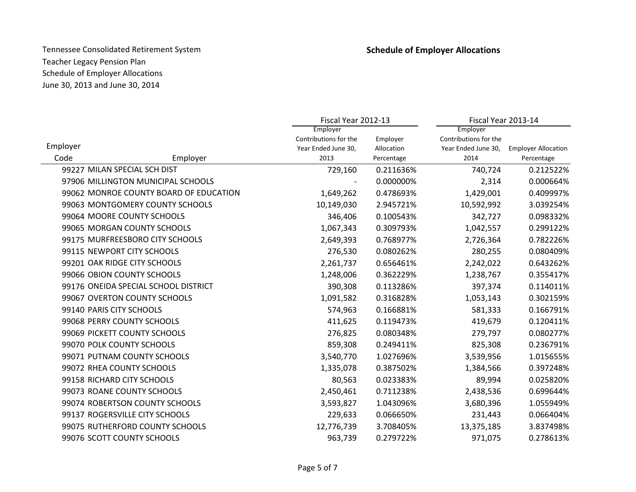|          |                                        | Fiscal Year 2012-13   |            | Fiscal Year 2013-14   |                            |  |
|----------|----------------------------------------|-----------------------|------------|-----------------------|----------------------------|--|
|          |                                        | Employer              |            | Employer              |                            |  |
| Employer |                                        | Contributions for the | Employer   | Contributions for the |                            |  |
|          |                                        | Year Ended June 30,   | Allocation | Year Ended June 30,   | <b>Employer Allocation</b> |  |
| Code     | Employer                               | 2013                  | Percentage | 2014                  | Percentage                 |  |
|          | 99227 MILAN SPECIAL SCH DIST           | 729,160               | 0.211636%  | 740,724               | 0.212522%                  |  |
|          | 97906 MILLINGTON MUNICIPAL SCHOOLS     |                       | 0.000000%  | 2,314                 | 0.000664%                  |  |
|          | 99062 MONROE COUNTY BOARD OF EDUCATION | 1,649,262             | 0.478693%  | 1,429,001             | 0.409997%                  |  |
|          | 99063 MONTGOMERY COUNTY SCHOOLS        | 10,149,030            | 2.945721%  | 10,592,992            | 3.039254%                  |  |
|          | 99064 MOORE COUNTY SCHOOLS             | 346,406               | 0.100543%  | 342,727               | 0.098332%                  |  |
|          | 99065 MORGAN COUNTY SCHOOLS            | 1,067,343             | 0.309793%  | 1,042,557             | 0.299122%                  |  |
|          | 99175 MURFREESBORO CITY SCHOOLS        | 2,649,393             | 0.768977%  | 2,726,364             | 0.782226%                  |  |
|          | 99115 NEWPORT CITY SCHOOLS             | 276,530               | 0.080262%  | 280,255               | 0.080409%                  |  |
|          | 99201 OAK RIDGE CITY SCHOOLS           | 2,261,737             | 0.656461%  | 2,242,022             | 0.643262%                  |  |
|          | 99066 OBION COUNTY SCHOOLS             | 1,248,006             | 0.362229%  | 1,238,767             | 0.355417%                  |  |
|          | 99176 ONEIDA SPECIAL SCHOOL DISTRICT   | 390,308               | 0.113286%  | 397,374               | 0.114011%                  |  |
|          | 99067 OVERTON COUNTY SCHOOLS           | 1,091,582             | 0.316828%  | 1,053,143             | 0.302159%                  |  |
|          | 99140 PARIS CITY SCHOOLS               | 574,963               | 0.166881%  | 581,333               | 0.166791%                  |  |
|          | 99068 PERRY COUNTY SCHOOLS             | 411,625               | 0.119473%  | 419,679               | 0.120411%                  |  |
|          | 99069 PICKETT COUNTY SCHOOLS           | 276,825               | 0.080348%  | 279,797               | 0.080277%                  |  |
|          | 99070 POLK COUNTY SCHOOLS              | 859,308               | 0.249411%  | 825,308               | 0.236791%                  |  |
|          | 99071 PUTNAM COUNTY SCHOOLS            | 3,540,770             | 1.027696%  | 3,539,956             | 1.015655%                  |  |
|          | 99072 RHEA COUNTY SCHOOLS              | 1,335,078             | 0.387502%  | 1,384,566             | 0.397248%                  |  |
|          | 99158 RICHARD CITY SCHOOLS             | 80,563                | 0.023383%  | 89,994                | 0.025820%                  |  |
|          | 99073 ROANE COUNTY SCHOOLS             | 2,450,461             | 0.711238%  | 2,438,536             | 0.699644%                  |  |
|          | 99074 ROBERTSON COUNTY SCHOOLS         | 3,593,827             | 1.043096%  | 3,680,396             | 1.055949%                  |  |
|          | 99137 ROGERSVILLE CITY SCHOOLS         | 229,633               | 0.066650%  | 231,443               | 0.066404%                  |  |
|          | 99075 RUTHERFORD COUNTY SCHOOLS        | 12,776,739            | 3.708405%  | 13,375,185            | 3.837498%                  |  |
|          | 99076 SCOTT COUNTY SCHOOLS             | 963,739               | 0.279722%  | 971,075               | 0.278613%                  |  |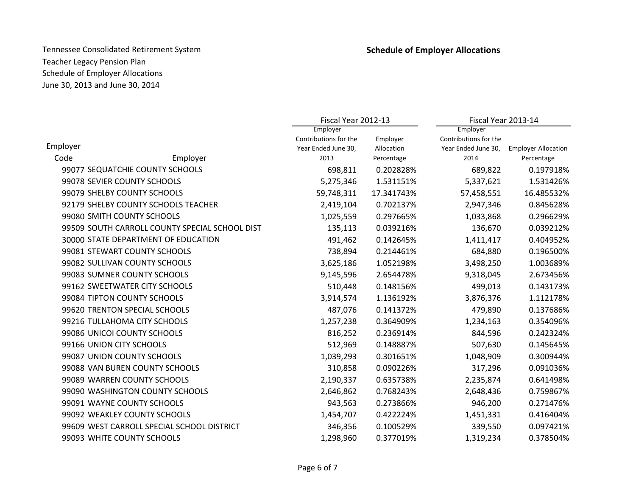|          |                                                | Fiscal Year 2012-13   |            | Fiscal Year 2013-14   |                            |  |  |
|----------|------------------------------------------------|-----------------------|------------|-----------------------|----------------------------|--|--|
|          |                                                | Employer              |            | Employer              |                            |  |  |
|          |                                                | Contributions for the | Employer   | Contributions for the |                            |  |  |
| Employer |                                                | Year Ended June 30,   | Allocation | Year Ended June 30,   | <b>Employer Allocation</b> |  |  |
| Code     | Employer                                       | 2013                  | Percentage | 2014                  | Percentage                 |  |  |
|          | 99077 SEQUATCHIE COUNTY SCHOOLS                | 698,811               | 0.202828%  | 689,822               | 0.197918%                  |  |  |
|          | 99078 SEVIER COUNTY SCHOOLS                    | 5,275,346             | 1.531151%  | 5,337,621             | 1.531426%                  |  |  |
|          | 99079 SHELBY COUNTY SCHOOLS                    | 59,748,311            | 17.341743% | 57,458,551            | 16.485532%                 |  |  |
|          | 92179 SHELBY COUNTY SCHOOLS TEACHER            | 2,419,104             | 0.702137%  | 2,947,346             | 0.845628%                  |  |  |
|          | 99080 SMITH COUNTY SCHOOLS                     | 1,025,559             | 0.297665%  | 1,033,868             | 0.296629%                  |  |  |
|          | 99509 SOUTH CARROLL COUNTY SPECIAL SCHOOL DIST | 135,113               | 0.039216%  | 136,670               | 0.039212%                  |  |  |
|          | 30000 STATE DEPARTMENT OF EDUCATION            | 491,462               | 0.142645%  | 1,411,417             | 0.404952%                  |  |  |
|          | 99081 STEWART COUNTY SCHOOLS                   | 738,894               | 0.214461%  | 684,880               | 0.196500%                  |  |  |
|          | 99082 SULLIVAN COUNTY SCHOOLS                  | 3,625,186             | 1.052198%  | 3,498,250             | 1.003689%                  |  |  |
|          | 99083 SUMNER COUNTY SCHOOLS                    | 9,145,596             | 2.654478%  | 9,318,045             | 2.673456%                  |  |  |
|          | 99162 SWEETWATER CITY SCHOOLS                  | 510,448               | 0.148156%  | 499,013               | 0.143173%                  |  |  |
|          | 99084 TIPTON COUNTY SCHOOLS                    | 3,914,574             | 1.136192%  | 3,876,376             | 1.112178%                  |  |  |
|          | 99620 TRENTON SPECIAL SCHOOLS                  | 487,076               | 0.141372%  | 479,890               | 0.137686%                  |  |  |
|          | 99216 TULLAHOMA CITY SCHOOLS                   | 1,257,238             | 0.364909%  | 1,234,163             | 0.354096%                  |  |  |
|          | 99086 UNICOI COUNTY SCHOOLS                    | 816,252               | 0.236914%  | 844,596               | 0.242324%                  |  |  |
|          | 99166 UNION CITY SCHOOLS                       | 512,969               | 0.148887%  | 507,630               | 0.145645%                  |  |  |
|          | 99087 UNION COUNTY SCHOOLS                     | 1,039,293             | 0.301651%  | 1,048,909             | 0.300944%                  |  |  |
|          | 99088 VAN BUREN COUNTY SCHOOLS                 | 310,858               | 0.090226%  | 317,296               | 0.091036%                  |  |  |
|          | 99089 WARREN COUNTY SCHOOLS                    | 2,190,337             | 0.635738%  | 2,235,874             | 0.641498%                  |  |  |
|          | 99090 WASHINGTON COUNTY SCHOOLS                | 2,646,862             | 0.768243%  | 2,648,436             | 0.759867%                  |  |  |
|          | 99091 WAYNE COUNTY SCHOOLS                     | 943,563               | 0.273866%  | 946,200               | 0.271476%                  |  |  |
|          | 99092 WEAKLEY COUNTY SCHOOLS                   | 1,454,707             | 0.422224%  | 1,451,331             | 0.416404%                  |  |  |
|          | 99609 WEST CARROLL SPECIAL SCHOOL DISTRICT     | 346,356               | 0.100529%  | 339,550               | 0.097421%                  |  |  |
|          | 99093 WHITE COUNTY SCHOOLS                     | 1,298,960             | 0.377019%  | 1,319,234             | 0.378504%                  |  |  |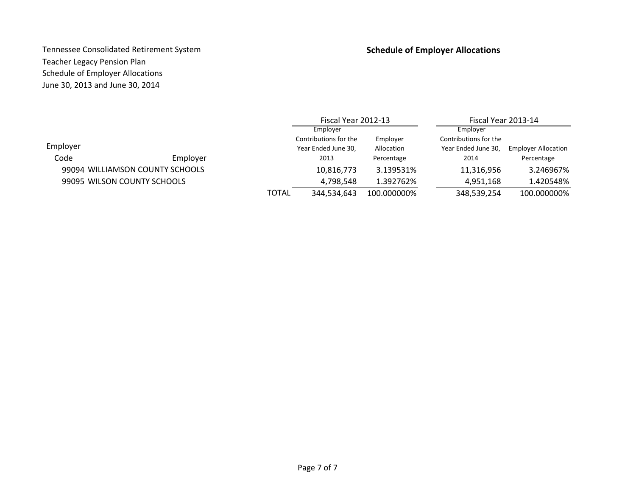|                             |                                 | Fiscal Year 2012-13 | Fiscal Year 2013-14   |             |                       |                            |
|-----------------------------|---------------------------------|---------------------|-----------------------|-------------|-----------------------|----------------------------|
|                             |                                 |                     | Employer              |             | Employer              |                            |
|                             |                                 |                     | Contributions for the | Employer    | Contributions for the |                            |
| Employer                    |                                 |                     | Year Ended June 30,   | Allocation  | Year Ended June 30,   | <b>Employer Allocation</b> |
| Code                        | Employer                        |                     | 2013                  | Percentage  | 2014                  | Percentage                 |
|                             | 99094 WILLIAMSON COUNTY SCHOOLS |                     | 10,816,773            | 3.139531%   | 11,316,956            | 3.246967%                  |
| 99095 WILSON COUNTY SCHOOLS |                                 |                     | 4,798,548             | 1.392762%   | 4,951,168             | 1.420548%                  |
|                             |                                 | <b>TOTAL</b>        | 344.534.643           | 100.000000% | 348,539,254           | 100.000000%                |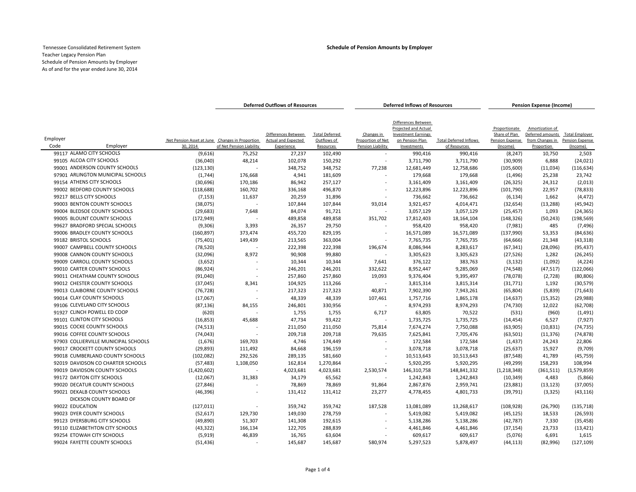|                            |                                                        |                                                             | <b>Deferred Outflows of Resources</b> |                                                                 |                                                          | <b>Deferred Inflows of Resources</b>                 |                                                                                                             |                                               | <b>Pension Expense (Income)</b>                               |                                                                      |                                                      |  |
|----------------------------|--------------------------------------------------------|-------------------------------------------------------------|---------------------------------------|-----------------------------------------------------------------|----------------------------------------------------------|------------------------------------------------------|-------------------------------------------------------------------------------------------------------------|-----------------------------------------------|---------------------------------------------------------------|----------------------------------------------------------------------|------------------------------------------------------|--|
|                            |                                                        |                                                             |                                       |                                                                 |                                                          |                                                      |                                                                                                             |                                               |                                                               |                                                                      |                                                      |  |
| Employer<br>Code           | Employer                                               | Net Pension Asset at June Changes in Proportion<br>30, 2014 | of Net Pension Liability              | Differences Between<br><b>Actual and Expected</b><br>Experience | <b>Total Deferred</b><br>Outflows of<br><b>Resources</b> | Changes in<br>Proportion of Net<br>Pension Liability | Differences Between<br>Projected and Actual<br><b>Investment Earnings</b><br>on Pension Plan<br>Investments | <b>Total Deferred Inflows</b><br>of Resources | Proportionate<br>Share of Plan<br>Pension Expense<br>(Income) | Amortization of<br>Deferred amounts<br>from Changes in<br>Proportion | <b>Total Employer</b><br>Pension Expense<br>(Income) |  |
| 99117 ALAMO CITY SCHOOLS   |                                                        | (9,616)                                                     | 75,252                                | 27,237                                                          | 102,490                                                  |                                                      | 990,416                                                                                                     | 990,416                                       | (8, 247)                                                      | 10,750                                                               | 2,503                                                |  |
| 99105 ALCOA CITY SCHOOLS   |                                                        | (36,040)                                                    | 48,214                                | 102,078                                                         | 150,292                                                  |                                                      | 3,711,790                                                                                                   | 3,711,790                                     | (30, 909)                                                     | 6,888                                                                | (24, 021)                                            |  |
|                            | 99001 ANDERSON COUNTY SCHOOLS                          | (123, 130)                                                  |                                       | 348,752                                                         | 348,752                                                  | 77,238                                               | 12,681,449                                                                                                  | 12,758,686                                    | (105, 600)                                                    | (11,034)                                                             | (116, 634)                                           |  |
|                            | 97901 ARLINGTON MUNICIPAL SCHOOLS                      | (1,744)                                                     | 176,668                               | 4,941                                                           | 181,609                                                  |                                                      | 179,668                                                                                                     | 179,668                                       | (1, 496)                                                      | 25,238                                                               | 23,742                                               |  |
| 99154 ATHENS CITY SCHOOLS  |                                                        | (30, 696)                                                   | 170,186                               | 86,942                                                          | 257,127                                                  |                                                      | 3,161,409                                                                                                   | 3,161,409                                     | (26, 325)                                                     | 24,312                                                               | (2,013)                                              |  |
|                            | 99002 BEDFORD COUNTY SCHOOLS                           | (118, 688)                                                  | 160,702                               | 336,168                                                         | 496,870                                                  |                                                      | 12,223,896                                                                                                  | 12,223,896                                    | (101, 790)                                                    | 22,957                                                               | (78, 833)                                            |  |
| 99217 BELLS CITY SCHOOLS   |                                                        | (7, 153)                                                    | 11,637                                | 20,259                                                          | 31,896                                                   |                                                      | 736,662                                                                                                     | 736,662                                       | (6, 134)                                                      | 1,662                                                                | (4, 472)                                             |  |
|                            | 99003 BENTON COUNTY SCHOOLS                            | (38,075)                                                    |                                       | 107,844                                                         | 107,844                                                  | 93,014                                               | 3,921,457                                                                                                   | 4,014,471                                     | (32, 654)                                                     | (13, 288)                                                            | (45, 942)                                            |  |
|                            | 99004 BLEDSOE COUNTY SCHOOLS                           | (29, 683)                                                   | 7,648                                 | 84,074                                                          | 91,721                                                   |                                                      | 3,057,129                                                                                                   | 3,057,129                                     | (25, 457)                                                     | 1,093                                                                | (24, 365)                                            |  |
|                            | 99005 BLOUNT COUNTY SCHOOLS                            | (172, 949)                                                  |                                       | 489,858                                                         | 489,858                                                  | 351,702                                              | 17,812,403                                                                                                  | 18,164,104                                    | (148, 326)                                                    | (50, 243)                                                            | (198, 569)                                           |  |
|                            | 99627 BRADFORD SPECIAL SCHOOLS                         | (9,306)                                                     | 3,393                                 | 26,357                                                          | 29,750                                                   |                                                      | 958,420                                                                                                     | 958,420                                       | (7,981)                                                       | 485                                                                  | (7, 496)                                             |  |
|                            | 99006 BRADLEY COUNTY SCHOOLS                           | (160, 897)                                                  | 373,474                               | 455,720                                                         | 829,195                                                  |                                                      | 16,571,089                                                                                                  | 16,571,089                                    | (137,990)                                                     | 53,353                                                               | (84, 636)                                            |  |
| 99182 BRISTOL SCHOOLS      |                                                        | (75, 401)                                                   | 149,439                               | 213,565                                                         | 363,004                                                  |                                                      | 7,765,735                                                                                                   | 7,765,735                                     | (64, 666)                                                     | 21,348                                                               | (43, 318)                                            |  |
|                            | 99007 CAMPBELL COUNTY SCHOOLS                          | (78, 520)                                                   |                                       | 222,398                                                         | 222,398                                                  | 196,674                                              | 8,086,944                                                                                                   | 8,283,617                                     | (67, 341)                                                     | (28,096)                                                             | (95, 437)                                            |  |
|                            | 99008 CANNON COUNTY SCHOOLS                            | (32,096)                                                    | 8,972                                 | 90,908                                                          | 99,880                                                   |                                                      | 3,305,623                                                                                                   | 3,305,623                                     | (27, 526)                                                     | 1,282                                                                | (26, 245)                                            |  |
|                            | 99009 CARROLL COUNTY SCHOOLS                           | (3,652)                                                     |                                       | 10,344                                                          | 10,344                                                   | 7,641                                                | 376,122                                                                                                     | 383,763                                       | (3, 132)                                                      | (1,092)                                                              | (4, 224)                                             |  |
|                            | 99010 CARTER COUNTY SCHOOLS                            | (86, 924)                                                   |                                       | 246,201                                                         | 246,201                                                  | 332,622                                              | 8,952,447                                                                                                   | 9,285,069                                     | (74, 548)                                                     | (47, 517)                                                            | (122,066)                                            |  |
|                            | 99011 CHEATHAM COUNTY SCHOOLS                          | (91,040)                                                    |                                       | 257,860                                                         | 257,860                                                  | 19,093                                               | 9,376,404                                                                                                   | 9,395,497                                     | (78,078)                                                      | (2,728)                                                              | (80, 806)                                            |  |
|                            | 99012 CHESTER COUNTY SCHOOLS                           | (37, 045)                                                   | 8,341                                 | 104,925                                                         | 113,266                                                  |                                                      | 3,815,314                                                                                                   | 3,815,314                                     | (31, 771)                                                     | 1,192                                                                | (30, 579)                                            |  |
|                            | 99013 CLAIBORNE COUNTY SCHOOLS                         | (76, 728)                                                   |                                       | 217,323                                                         | 217,323                                                  | 40,871                                               | 7,902,390                                                                                                   | 7,943,261                                     | (65, 804)                                                     | (5,839)                                                              | (71, 643)                                            |  |
|                            | 99014 CLAY COUNTY SCHOOLS                              | (17,067)                                                    | $\overline{a}$                        | 48,339                                                          | 48,339                                                   | 107,461                                              | 1,757,716                                                                                                   | 1,865,178                                     | (14, 637)                                                     | (15, 352)                                                            | (29, 988)                                            |  |
|                            | 99106 CLEVELAND CITY SCHOOLS                           | (87, 136)                                                   | 84,155                                | 246,801                                                         | 330,956                                                  |                                                      | 8,974,293                                                                                                   | 8,974,293                                     | (74, 730)                                                     | 12,022                                                               | (62, 708)                                            |  |
|                            | 91927 CLINCH POWELL ED COOP                            | (620)                                                       |                                       | 1,755                                                           | 1,755                                                    | 6,717                                                | 63,805                                                                                                      | 70,522                                        | (531)                                                         | (960)                                                                | (1, 491)                                             |  |
| 99101 CLINTON CITY SCHOOLS |                                                        | (16, 853)                                                   | 45,688                                | 47,734                                                          | 93,422                                                   |                                                      | 1,735,725                                                                                                   | 1,735,725                                     | (14, 454)                                                     | 6,527                                                                | (7, 927)                                             |  |
|                            | 99015 COCKE COUNTY SCHOOLS                             | (74, 513)                                                   |                                       | 211,050                                                         | 211,050                                                  | 75,814                                               | 7,674,274                                                                                                   | 7,750,088                                     | (63, 905)                                                     | (10, 831)                                                            | (74, 735)                                            |  |
|                            | 99016 COFFEE COUNTY SCHOOLS                            | (74, 043)                                                   |                                       | 209,718                                                         | 209,718                                                  | 79,635                                               | 7,625,841                                                                                                   | 7,705,476                                     | (63, 501)                                                     | (11, 376)                                                            | (74, 878)                                            |  |
|                            | 97903 COLLIERVILLE MUNICIPAL SCHOOLS                   | (1,676)                                                     | 169,703                               | 4,746                                                           | 174,449                                                  |                                                      | 172,584                                                                                                     | 172,584                                       | (1, 437)                                                      | 24,243                                                               | 22,806                                               |  |
|                            | 99017 CROCKETT COUNTY SCHOOLS                          | (29, 893)                                                   | 111,492                               | 84,668                                                          | 196,159                                                  |                                                      | 3,078,718                                                                                                   | 3,078,718                                     | (25, 637)                                                     | 15,927                                                               | (9,709)                                              |  |
|                            | 99018 CUMBERLAND COUNTY SCHOOLS                        | (102, 082)                                                  | 292,526                               | 289,135                                                         | 581,660                                                  |                                                      | 10,513,643                                                                                                  | 10,513,643                                    | (87, 548)                                                     | 41,789                                                               | (45, 759)                                            |  |
|                            | 92019 DAVIDSON CO CHARTER SCHOOLS                      | (57, 483)                                                   | 1,108,050                             | 162,814                                                         | 1,270,864                                                |                                                      | 5,920,295                                                                                                   | 5,920,295                                     | (49, 299)                                                     | 158,293                                                              | 108,994                                              |  |
|                            | 99019 DAVIDSON COUNTY SCHOOLS                          | (1,420,602)                                                 |                                       | 4,023,681                                                       | 4,023,681                                                | 2,530,574                                            | 146,310,758                                                                                                 | 148,841,332                                   | (1, 218, 348)                                                 | (361, 511)                                                           | (1,579,859)                                          |  |
| 99172 DAYTON CITY SCHOOLS  |                                                        | (12,067)                                                    | 31,383                                | 34,179                                                          | 65,562                                                   |                                                      | 1,242,843                                                                                                   | 1,242,843                                     | (10, 349)                                                     | 4,483                                                                | (5,866)                                              |  |
|                            | 99020 DECATUR COUNTY SCHOOLS                           | (27, 846)                                                   |                                       | 78,869                                                          | 78,869                                                   | 91,864                                               | 2,867,876                                                                                                   | 2,959,741                                     | (23, 881)                                                     | (13, 123)                                                            | (37,005)                                             |  |
|                            | 99021 DEKALB COUNTY SCHOOLS<br>DICKSON COUNTY BOARD OF | (46, 396)                                                   |                                       | 131,412                                                         | 131,412                                                  | 23,277                                               | 4,778,455                                                                                                   | 4,801,733                                     | (39, 791)                                                     | (3, 325)                                                             | (43, 116)                                            |  |
| 99022 EDUCATION            |                                                        | (127, 011)                                                  |                                       | 359,742                                                         | 359,742                                                  | 187,528                                              | 13,081,089                                                                                                  | 13,268,617                                    | (108, 928)                                                    | (26, 790)                                                            | (135, 718)                                           |  |
|                            | 99023 DYER COUNTY SCHOOLS                              | (52, 617)                                                   | 129,730                               | 149,030                                                         | 278,759                                                  |                                                      | 5,419,082                                                                                                   | 5,419,082                                     | (45, 125)                                                     | 18,533                                                               | (26, 593)                                            |  |
|                            | 99123 DYERSBURG CITY SCHOOLS                           | (49, 890)                                                   | 51,307                                | 141,308                                                         | 192,615                                                  |                                                      | 5,138,286                                                                                                   | 5,138,286                                     | (42, 787)                                                     | 7,330                                                                | (35, 458)                                            |  |
|                            | 99110 ELIZABETHTON CITY SCHOOLS                        | (43, 322)                                                   | 166,134                               | 122,705                                                         | 288,839                                                  |                                                      | 4,461,846                                                                                                   | 4,461,846                                     | (37, 154)                                                     | 23,733                                                               | (13, 421)                                            |  |
| 99254 ETOWAH CITY SCHOOLS  |                                                        | (5, 919)                                                    | 46,839                                | 16,765                                                          | 63,604                                                   |                                                      | 609,617                                                                                                     | 609,617                                       | (5,076)                                                       | 6,691                                                                | 1,615                                                |  |
|                            | 99024 FAYETTE COUNTY SCHOOLS                           | (51, 436)                                                   |                                       | 145,687                                                         | 145,687                                                  | 580,974                                              | 5,297,523                                                                                                   | 5,878,497                                     | (44, 113)                                                     | (82,996)                                                             | (127, 109)                                           |  |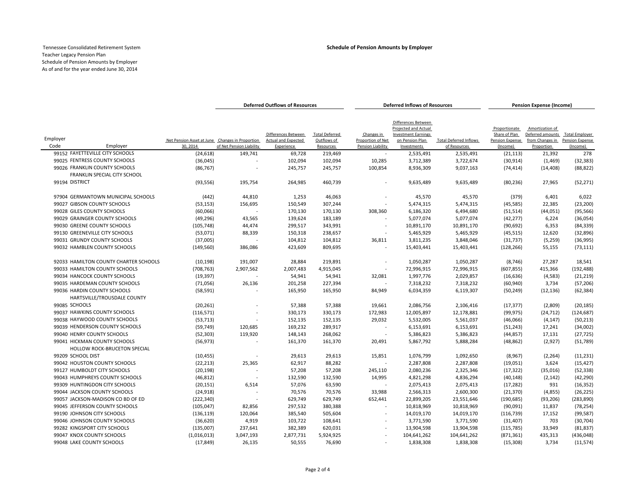|                                                            |                                                             | <b>Deferred Outflows of Resources</b> |                                                                 |                                                   | <b>Deferred Inflows of Resources</b>                 |                                                                                                             |                                               | <b>Pension Expense (Income)</b>                               |                                                                      |                                                             |  |
|------------------------------------------------------------|-------------------------------------------------------------|---------------------------------------|-----------------------------------------------------------------|---------------------------------------------------|------------------------------------------------------|-------------------------------------------------------------------------------------------------------------|-----------------------------------------------|---------------------------------------------------------------|----------------------------------------------------------------------|-------------------------------------------------------------|--|
| Employer<br>Code<br>Employer                               | Net Pension Asset at June Changes in Proportion<br>30, 2014 | of Net Pension Liability              | Differences Between<br><b>Actual and Expected</b><br>Experience | <b>Total Deferred</b><br>Outflows of<br>Resources | Changes in<br>Proportion of Net<br>Pension Liability | Differences Between<br>Projected and Actual<br><b>Investment Earnings</b><br>on Pension Plan<br>Investments | <b>Total Deferred Inflows</b><br>of Resources | Proportionate<br>Share of Plan<br>Pension Expense<br>(Income) | Amortization of<br>Deferred amounts<br>from Changes in<br>Proportion | <b>Total Employer</b><br><b>Pension Expense</b><br>(Income) |  |
| 99152 FAYETTEVILLE CITY SCHOOLS                            | (24, 618)                                                   | 149,741                               | 69,728                                                          | 219,469                                           |                                                      | 2,535,491                                                                                                   | 2,535,491                                     | (21, 113)                                                     | 21,392                                                               | 278                                                         |  |
| 99025 FENTRESS COUNTY SCHOOLS                              | (36,045)                                                    | $\overline{\phantom{a}}$              | 102,094                                                         | 102,094                                           | 10,285                                               | 3,712,389                                                                                                   | 3,722,674                                     | (30, 914)                                                     | (1, 469)                                                             | (32, 383)                                                   |  |
| 99026 FRANKLIN COUNTY SCHOOLS                              | (86, 767)                                                   |                                       | 245,757                                                         | 245,757                                           | 100,854                                              | 8,936,309                                                                                                   | 9,037,163                                     | (74, 414)                                                     | (14, 408)                                                            | (88, 822)                                                   |  |
| <b>FRANKLIN SPECIAL CITY SCHOOL</b>                        |                                                             |                                       |                                                                 |                                                   |                                                      |                                                                                                             |                                               |                                                               |                                                                      |                                                             |  |
| 99194 DISTRICT                                             | (93, 556)                                                   | 195,754                               | 264,985                                                         | 460,739                                           |                                                      | 9,635,489                                                                                                   | 9,635,489                                     | (80, 236)                                                     | 27,965                                                               | (52, 271)                                                   |  |
| 97904 GERMANTOWN MUNICIPAL SCHOOLS                         | (442)                                                       | 44,810                                | 1,253                                                           | 46,063                                            |                                                      | 45,570                                                                                                      | 45,570                                        | (379)                                                         | 6,401                                                                | 6,022                                                       |  |
| 99027 GIBSON COUNTY SCHOOLS                                | (53, 153)                                                   | 156,695                               | 150,549                                                         | 307,244                                           |                                                      | 5,474,315                                                                                                   | 5,474,315                                     | (45, 585)                                                     | 22,385                                                               | (23, 200)                                                   |  |
| 99028 GILES COUNTY SCHOOLS                                 | (60,066)                                                    |                                       | 170,130                                                         | 170,130                                           | 308,360                                              | 6,186,320                                                                                                   | 6,494,680                                     | (51, 514)                                                     | (44,051)                                                             | (95, 566)                                                   |  |
| 99029 GRAINGER COUNTY SCHOOLS                              | (49, 296)                                                   | 43,565                                | 139,624                                                         | 183,189                                           |                                                      | 5,077,074                                                                                                   | 5,077,074                                     | (42, 277)                                                     | 6,224                                                                | (36,054)                                                    |  |
| 99030 GREENE COUNTY SCHOOLS                                | (105, 748)                                                  | 44,474                                | 299,517                                                         | 343,991                                           |                                                      | 10,891,170                                                                                                  | 10,891,170                                    | (90, 692)                                                     | 6,353                                                                | (84, 339)                                                   |  |
| 99130 GREENEVILLE CITY SCHOOLS                             | (53,071)                                                    | 88,339                                | 150,318                                                         | 238,657                                           |                                                      | 5,465,929                                                                                                   | 5,465,929                                     | (45, 515)                                                     | 12,620                                                               | (32, 896)                                                   |  |
| 99031 GRUNDY COUNTY SCHOOLS                                | (37,005)                                                    |                                       | 104,812                                                         | 104,812                                           | 36,811                                               | 3,811,235                                                                                                   | 3,848,046                                     | (31, 737)                                                     | (5, 259)                                                             | (36,995)                                                    |  |
| 99032 HAMBLEN COUNTY SCHOOLS                               | (149, 560)                                                  | 386,086                               | 423,609                                                         | 809,695                                           |                                                      | 15,403,441                                                                                                  | 15,403,441                                    | (128, 266)                                                    | 55,155                                                               | (73, 111)                                                   |  |
| 92033 HAMILTON COUNTY CHARTER SCHOOLS                      | (10, 198)                                                   | 191,007                               | 28,884                                                          | 219,891                                           |                                                      | 1,050,287                                                                                                   | 1,050,287                                     | (8, 746)                                                      | 27,287                                                               | 18,541                                                      |  |
| 99033 HAMILTON COUNTY SCHOOLS                              | (708, 763)                                                  | 2,907,562                             | 2,007,483                                                       | 4,915,045                                         |                                                      | 72,996,915                                                                                                  | 72,996,915                                    | (607, 855)                                                    | 415,366                                                              | (192, 488)                                                  |  |
| 99034 HANCOCK COUNTY SCHOOLS                               | (19, 397)                                                   |                                       | 54,941                                                          | 54,941                                            | 32,081                                               | 1,997,776                                                                                                   | 2,029,857                                     | (16, 636)                                                     | (4,583)                                                              | (21, 219)                                                   |  |
| 99035 HARDEMAN COUNTY SCHOOLS                              | (71,056)                                                    | 26,136                                | 201,258                                                         | 227,394                                           |                                                      | 7,318,232                                                                                                   | 7,318,232                                     | (60, 940)                                                     | 3,734                                                                | (57, 206)                                                   |  |
| 99036 HARDIN COUNTY SCHOOLS<br>HARTSVILLE/TROUSDALE COUNTY | (58, 591)                                                   |                                       | 165,950                                                         | 165,950                                           | 84,949                                               | 6,034,359                                                                                                   | 6,119,307                                     | (50, 249)                                                     | (12, 136)                                                            | (62, 384)                                                   |  |
| 99085 SCHOOLS                                              | (20, 261)                                                   |                                       | 57,388                                                          | 57,388                                            | 19,661                                               | 2,086,756                                                                                                   | 2,106,416                                     | (17, 377)                                                     | (2,809)                                                              | (20, 185)                                                   |  |
| 99037 HAWKINS COUNTY SCHOOLS                               | (116, 571)                                                  | $\overline{a}$                        | 330,173                                                         | 330,173                                           | 172,983                                              | 12,005,897                                                                                                  | 12,178,881                                    | (99, 975)                                                     | (24, 712)                                                            | (124, 687)                                                  |  |
| 99038 HAYWOOD COUNTY SCHOOLS                               | (53, 713)                                                   |                                       | 152,135                                                         | 152,135                                           | 29,032                                               | 5,532,005                                                                                                   | 5,561,037                                     | (46,066)                                                      | (4, 147)                                                             | (50, 213)                                                   |  |
| 99039 HENDERSON COUNTY SCHOOLS                             | (59, 749)                                                   | 120,685                               | 169,232                                                         | 289,917                                           |                                                      | 6,153,691                                                                                                   | 6,153,691                                     | (51, 243)                                                     | 17,241                                                               | (34,002)                                                    |  |
| 99040 HENRY COUNTY SCHOOLS                                 | (52, 303)                                                   | 119,920                               | 148,143                                                         | 268,062                                           |                                                      | 5,386,823                                                                                                   | 5,386,823                                     | (44, 857)                                                     | 17,131                                                               | (27, 725)                                                   |  |
| 99041 HICKMAN COUNTY SCHOOLS                               | (56, 973)                                                   |                                       | 161,370                                                         | 161,370                                           | 20,491                                               | 5,867,792                                                                                                   | 5,888,284                                     | (48, 862)                                                     | (2,927)                                                              | (51, 789)                                                   |  |
| HOLLOW ROCK-BRUCETON SPECIAL                               |                                                             |                                       |                                                                 |                                                   |                                                      |                                                                                                             |                                               |                                                               |                                                                      |                                                             |  |
| 99209 SCHOOL DIST                                          | (10, 455)                                                   |                                       | 29,613                                                          | 29,613                                            | 15,851                                               | 1,076,799                                                                                                   | 1,092,650                                     | (8,967)                                                       | (2, 264)                                                             | (11, 231)                                                   |  |
| 99042 HOUSTON COUNTY SCHOOLS                               | (22, 213)                                                   | 25,365                                | 62,917                                                          | 88,282                                            |                                                      | 2,287,808                                                                                                   | 2,287,808                                     | (19,051)                                                      | 3,624                                                                | (15, 427)                                                   |  |
| 99127 HUMBOLDT CITY SCHOOLS                                | (20, 198)                                                   |                                       | 57,208                                                          | 57,208                                            | 245,110                                              | 2,080,236                                                                                                   | 2,325,346                                     | (17, 322)                                                     | (35,016)                                                             | (52, 338)                                                   |  |
| 99043 HUMPHREYS COUNTY SCHOOLS                             | (46, 812)                                                   |                                       | 132,590                                                         | 132,590                                           | 14,995                                               | 4,821,298                                                                                                   | 4,836,294                                     | (40, 148)                                                     | (2, 142)                                                             | (42, 290)                                                   |  |
| 99309 HUNTINGDON CITY SCHOOLS                              | (20, 151)                                                   | 6,514                                 | 57,076                                                          | 63,590                                            |                                                      | 2,075,413                                                                                                   | 2,075,413                                     | (17, 282)                                                     | 931                                                                  | (16, 352)                                                   |  |
| 99044 JACKSON COUNTY SCHOOLS                               | (24, 918)                                                   |                                       | 70,576                                                          | 70,576                                            | 33,988                                               | 2,566,313                                                                                                   | 2,600,300                                     | (21, 370)                                                     | (4, 855)                                                             | (26, 225)                                                   |  |
| 99057 JACKSON-MADISON CO BD OF ED                          | (222, 340)                                                  |                                       | 629,749                                                         | 629,749                                           | 652,441                                              | 22,899,205                                                                                                  | 23,551,646                                    | (190, 685)                                                    | (93, 206)                                                            | (283, 890)                                                  |  |
| 99045 JEFFERSON COUNTY SCHOOLS                             | (105, 047)                                                  | 82,856                                | 297,532                                                         | 380,388                                           |                                                      | 10,818,969                                                                                                  | 10,818,969                                    | (90,091)                                                      | 11,837                                                               | (78, 254)                                                   |  |
| 99190 JOHNSON CITY SCHOOLS                                 | (136, 119)                                                  | 120,064                               | 385,540                                                         | 505,604                                           |                                                      | 14,019,170                                                                                                  | 14,019,170                                    | (116, 739)                                                    | 17,152                                                               | (99, 587)                                                   |  |
| 99046 JOHNSON COUNTY SCHOOLS                               | (36, 620)                                                   | 4,919                                 | 103,722                                                         | 108,641                                           |                                                      | 3,771,590                                                                                                   | 3,771,590                                     | (31, 407)                                                     | 703                                                                  | (30, 704)                                                   |  |
| 99282 KINGSPORT CITY SCHOOLS                               | (135,007)                                                   | 237,641                               | 382,389                                                         | 620,031                                           |                                                      | 13,904,598                                                                                                  | 13,904,598                                    | (115, 785)                                                    | 33,949                                                               | (81, 837)                                                   |  |
| 99047 KNOX COUNTY SCHOOLS                                  | (1,016,013)                                                 | 3,047,193                             | 2,877,731                                                       | 5,924,925                                         |                                                      | 104,641,262                                                                                                 | 104,641,262                                   | (871, 361)                                                    | 435,313                                                              | (436, 048)                                                  |  |
| 99048 LAKE COUNTY SCHOOLS                                  | (17, 849)                                                   | 26,135                                | 50,555                                                          | 76,690                                            |                                                      | 1,838,308                                                                                                   | 1,838,308                                     | (15, 308)                                                     | 3,734                                                                | (11, 574)                                                   |  |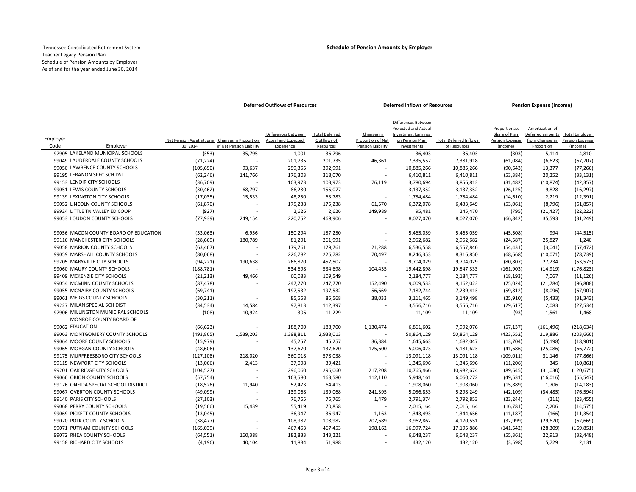|          |                                                              |                                                             | <b>Deferred Outflows of Resources</b> |                                          |                                 | <b>Deferred Inflows of Resources</b>   |                                             |                                               | <b>Pension Expense (Income)</b> |                               |                             |  |
|----------|--------------------------------------------------------------|-------------------------------------------------------------|---------------------------------------|------------------------------------------|---------------------------------|----------------------------------------|---------------------------------------------|-----------------------------------------------|---------------------------------|-------------------------------|-----------------------------|--|
|          |                                                              |                                                             |                                       |                                          |                                 |                                        | Differences Between<br>Projected and Actual |                                               | Proportionate                   | Amortization of               |                             |  |
| Employer |                                                              |                                                             |                                       | Differences Between                      | <b>Total Deferred</b>           | Changes in                             | <b>Investment Earnings</b>                  |                                               | Share of Plan                   | Deferred amounts              | <b>Total Employer</b>       |  |
| Code     | Employer                                                     | Net Pension Asset at June Changes in Proportion<br>30, 2014 | of Net Pension Liability              | <b>Actual and Expected</b><br>Experience | Outflows of<br><b>Resources</b> | Proportion of Net<br>Pension Liability | on Pension Plan<br>Investments              | <b>Total Deferred Inflows</b><br>of Resources | Pension Expense<br>(Income)     | from Changes in<br>Proportion | Pension Expense<br>(Income) |  |
|          | 97905 LAKELAND MUNICIPAL SCHOOLS                             | (353)                                                       | 35,795                                | 1,001                                    | 36,796                          | $\sim$                                 | 36,403                                      | 36,403                                        | (303)                           | 5,114                         | 4,810                       |  |
|          | 99049 LAUDERDALE COUNTY SCHOOLS                              | (71, 224)                                                   | $\sim$                                | 201,735                                  | 201,735                         | 46,361                                 | 7,335,557                                   | 7,381,918                                     | (61,084)                        | (6,623)                       | (67, 707)                   |  |
|          | 99050 LAWRENCE COUNTY SCHOOLS                                | (105, 690)                                                  | 93,637                                | 299,355                                  | 392,991                         |                                        | 10,885,266                                  | 10,885,266                                    | (90, 643)                       | 13,377                        | (77, 266)                   |  |
|          | 99195 LEBANON SPEC SCH DST                                   | (62, 246)                                                   | 141,766                               | 176,303                                  | 318,070                         |                                        | 6,410,811                                   | 6,410,811                                     | (53, 384)                       | 20,252                        | (33, 131)                   |  |
|          | 99153 LENOIR CITY SCHOOLS                                    | (36, 709)                                                   |                                       | 103,973                                  | 103,973                         | 76,119                                 | 3,780,694                                   | 3,856,813                                     | (31, 482)                       | (10, 874)                     | (42, 357)                   |  |
|          | 99051 LEWIS COUNTY SCHOOLS                                   | (30, 462)                                                   | 68,797                                | 86,280                                   | 155,077                         |                                        | 3,137,352                                   | 3,137,352                                     | (26, 125)                       | 9,828                         | (16, 297)                   |  |
|          | 99139 LEXINGTON CITY SCHOOLS                                 | (17,035)                                                    | 15,533                                | 48,250                                   | 63,783                          |                                        | 1,754,484                                   | 1,754,484                                     | (14, 610)                       | 2,219                         | (12, 391)                   |  |
|          | 99052 LINCOLN COUNTY SCHOOLS                                 | (61, 870)                                                   |                                       | 175,238                                  | 175,238                         | 61,570                                 | 6,372,078                                   | 6,433,649                                     | (53,061)                        | (8, 796)                      | (61, 857)                   |  |
|          | 99924 LITTLE TN VALLEY ED COOP                               | (927)                                                       |                                       | 2,626                                    | 2,626                           | 149,989                                | 95,481                                      | 245,470                                       | (795)                           | (21, 427)                     | (22, 222)                   |  |
|          | 99053 LOUDON COUNTY SCHOOLS                                  | (77, 939)                                                   | 249,154                               | 220,752                                  | 469,906                         |                                        | 8,027,070                                   | 8,027,070                                     | (66, 842)                       | 35,593                        | (31, 249)                   |  |
|          |                                                              |                                                             |                                       |                                          |                                 |                                        |                                             |                                               |                                 |                               |                             |  |
|          | 99056 MACON COUNTY BOARD OF EDUCATION                        | (53,063)                                                    | 6,956                                 | 150,294                                  | 157,250                         |                                        | 5,465,059                                   | 5,465,059                                     | (45, 508)                       | 994                           | (44, 515)                   |  |
|          | 99116 MANCHESTER CITY SCHOOLS                                | (28, 669)                                                   | 180,789                               | 81,201                                   | 261,991                         |                                        | 2,952,682                                   | 2,952,682                                     | (24, 587)                       | 25,827                        | 1,240                       |  |
|          | 99058 MARION COUNTY SCHOOLS                                  | (63, 467)                                                   |                                       | 179,761                                  | 179,761                         | 21,288                                 | 6,536,558                                   | 6,557,846                                     | (54, 431)                       | (3,041)                       | (57, 472)                   |  |
|          | 99059 MARSHALL COUNTY SCHOOLS                                | (80,068)                                                    |                                       | 226,782                                  | 226,782                         | 70,497                                 | 8,246,353                                   | 8,316,850                                     | (68, 668)                       | (10, 071)                     | (78, 739)                   |  |
|          | 99205 MARYVILLE CITY SCHOOLS                                 | (94, 221)                                                   | 190,638                               | 266,870                                  | 457,507                         |                                        | 9,704,029                                   | 9,704,029                                     | (80, 807)                       | 27,234                        | (53, 573)                   |  |
|          | 99060 MAURY COUNTY SCHOOLS                                   | (188, 781)                                                  |                                       | 534,698                                  | 534,698                         | 104,435                                | 19,442,898                                  | 19,547,333                                    | (161, 903)                      | (14, 919)                     | (176, 823)                  |  |
|          | 99409 MCKENZIE CITY SCHOOLS                                  | (21, 213)                                                   | 49,466                                | 60,083                                   | 109,549                         |                                        | 2,184,777                                   | 2,184,777                                     | (18, 193)                       | 7,067                         | (11, 126)                   |  |
|          | 99054 MCMINN COUNTY SCHOOLS                                  | (87, 478)                                                   |                                       | 247,770                                  | 247,770                         | 152,490                                | 9,009,533                                   | 9,162,023                                     | (75, 024)                       | (21, 784)                     | (96, 808)                   |  |
|          | 99055 MCNAIRY COUNTY SCHOOLS                                 | (69, 741)                                                   |                                       | 197,532                                  | 197,532                         | 56,669                                 | 7,182,744                                   | 7,239,413                                     | (59, 812)                       | (8,096)                       | (67, 907)                   |  |
|          | 99061 MEIGS COUNTY SCHOOLS                                   | (30, 211)                                                   |                                       | 85,568                                   | 85,568                          | 38,033                                 | 3,111,465                                   | 3,149,498                                     | (25, 910)                       | (5, 433)                      | (31, 343)                   |  |
|          | 99227 MILAN SPECIAL SCH DIST                                 | (34, 534)                                                   | 14,584                                | 97,813                                   | 112,397                         |                                        | 3,556,716                                   | 3,556,716                                     | (29, 617)                       | 2,083                         | (27, 534)                   |  |
|          | 97906 MILLINGTON MUNICIPAL SCHOOLS<br>MONROE COUNTY BOARD OF | (108)                                                       | 10,924                                | 306                                      | 11,229                          |                                        | 11,109                                      | 11,109                                        | (93)                            | 1,561                         | 1,468                       |  |
|          | 99062 EDUCATION                                              | (66, 623)                                                   |                                       | 188,700                                  | 188,700                         | 1,130,474                              | 6,861,602                                   | 7,992,076                                     | (57, 137)                       | (161, 496)                    | (218,634)                   |  |
|          | 99063 MONTGOMERY COUNTY SCHOOLS                              | (493, 865)                                                  | 1,539,203                             | 1,398,811                                | 2,938,013                       |                                        | 50,864,129                                  | 50,864,129                                    | (423, 552)                      | 219,886                       | (203, 666)                  |  |
|          | 99064 MOORE COUNTY SCHOOLS                                   | (15, 979)                                                   |                                       | 45,257                                   | 45,257                          | 36,384                                 | 1,645,663                                   | 1,682,047                                     | (13, 704)                       | (5, 198)                      | (18,901)                    |  |
|          | 99065 MORGAN COUNTY SCHOOLS                                  | (48, 606)                                                   | $\sim$                                | 137,670                                  | 137,670                         | 175,600                                | 5,006,023                                   | 5,181,623                                     | (41, 686)                       | (25,086)                      | (66, 772)                   |  |
|          | 99175 MURFREESBORO CITY SCHOOLS                              | (127, 108)                                                  | 218,020                               | 360,018                                  | 578,038                         |                                        | 13,091,118                                  | 13,091,118                                    | (109, 011)                      | 31,146                        | (77, 866)                   |  |
|          | 99115 NEWPORT CITY SCHOOLS                                   | (13,066)                                                    | 2,413                                 | 37,008                                   | 39,421                          |                                        | 1,345,696                                   | 1,345,696                                     | (11, 206)                       | 345                           | (10, 861)                   |  |
|          | 99201 OAK RIDGE CITY SCHOOLS                                 | (104, 527)                                                  |                                       | 296,060                                  | 296,060                         | 217,208                                | 10,765,466                                  | 10,982,674                                    | (89, 645)                       | (31,030)                      | (120, 675)                  |  |
|          | 99066 OBION COUNTY SCHOOLS                                   | (57, 754)                                                   |                                       | 163,580                                  | 163,580                         | 112,110                                | 5,948,161                                   | 6,060,272                                     | (49, 531)                       | (16, 016)                     | (65, 547)                   |  |
|          | 99176 ONEIDA SPECIAL SCHOOL DISTRICT                         | (18, 526)                                                   | 11,940                                | 52,473                                   | 64,413                          |                                        | 1,908,060                                   | 1,908,060                                     | (15, 889)                       | 1,706                         | (14, 183)                   |  |
|          | 99067 OVERTON COUNTY SCHOOLS                                 | (49,099)                                                    |                                       | 139,068                                  | 139,068                         | 241,395                                | 5,056,853                                   | 5,298,249                                     | (42, 109)                       | (34, 485)                     | (76, 594)                   |  |
|          | 99140 PARIS CITY SCHOOLS                                     | (27, 103)                                                   |                                       | 76,765                                   | 76,765                          | 1,479                                  | 2,791,374                                   | 2,792,853                                     | (23, 244)                       | (211)                         | (23, 455)                   |  |
|          | 99068 PERRY COUNTY SCHOOLS                                   | (19, 566)                                                   | 15,439                                | 55,419                                   | 70,858                          |                                        | 2,015,164                                   | 2,015,164                                     | (16, 781)                       | 2,206                         | (14, 575)                   |  |
|          | 99069 PICKETT COUNTY SCHOOLS                                 | (13,045)                                                    |                                       | 36,947                                   | 36,947                          | 1,163                                  | 1,343,493                                   | 1,344,656                                     | (11, 187)                       | (166)                         | (11, 354)                   |  |
|          | 99070 POLK COUNTY SCHOOLS                                    | (38, 477)                                                   | $\overline{\phantom{a}}$              | 108,982                                  | 108,982                         | 207,689                                | 3,962,862                                   | 4,170,551                                     | (32,999)                        | (29, 670)                     | (62, 669)                   |  |
|          | 99071 PUTNAM COUNTY SCHOOLS                                  | (165, 039)                                                  |                                       | 467,453                                  | 467,453                         | 198,162                                | 16,997,724                                  | 17,195,886                                    | (141, 542)                      | (28, 309)                     | (169, 851)                  |  |
|          | 99072 RHEA COUNTY SCHOOLS                                    | (64, 551)                                                   | 160,388                               | 182,833                                  | 343,221                         |                                        | 6,648,237                                   | 6,648,237                                     | (55, 361)                       | 22,913                        | (32, 448)                   |  |
|          | 99158 RICHARD CITY SCHOOLS                                   | (4, 196)                                                    | 40,104                                | 11,884                                   | 51,988                          |                                        | 432,120                                     | 432,120                                       | (3,598)                         | 5,729                         | 2,131                       |  |